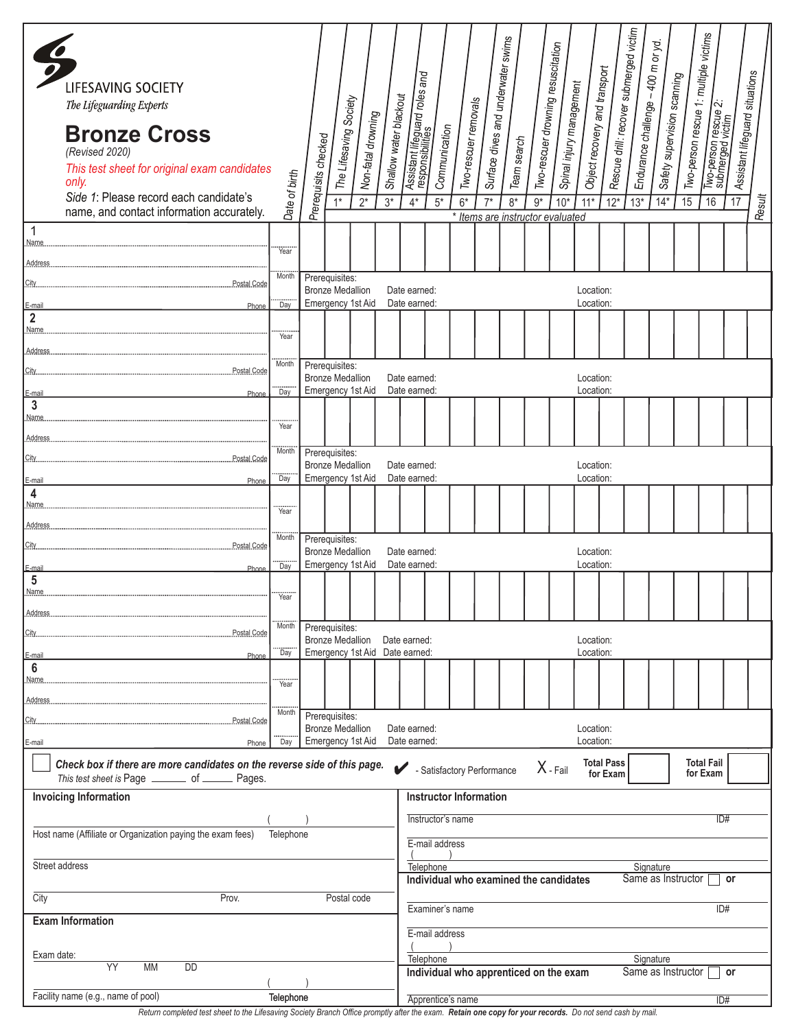|                                                                         | LIFESAVING SOCIETY<br>The Lifeguarding Experts<br><b>Bronze Cross</b><br>(Revised 2020)<br>This test sheet for original exam candidates<br>only.<br>Side 1: Please record each candidate's<br>name, and contact information accurately. | Date of birth                             | Prerequisits checked | The Lifesaving Society<br>$1*$            | Non-fatal drowning<br>$\overline{2^*}$                    | Shallow water blackout<br>$3*$ | Assistant lifeguard roles and<br>$4*$                                                        | Communication<br>$\overline{5^*}$                                  | Two-rescuer removals<br>$6*$ | $7*$ | Surface dives and underwater swims<br>Team search<br>$8*$<br>* Items are instructor evaluated | Two-rescuer drowning resuscitation<br>$\overline{9*}$ | Spinal injury management<br>$10*$ | Object recovery and transport<br>$11*$ | Rescue drill: recover submerged victim<br>$12*$ | Endurance challenge – 400 m or yd.<br>$13*$ | Safety supervision scanning<br>$14*$ | Two-person rescue 1: multiple victims<br>15 | Two-person rescue 2:<br>submerged victim<br>16 | Assistant lifeguard situations<br>$\overline{17}$ | Result |
|-------------------------------------------------------------------------|-----------------------------------------------------------------------------------------------------------------------------------------------------------------------------------------------------------------------------------------|-------------------------------------------|----------------------|-------------------------------------------|-----------------------------------------------------------|--------------------------------|----------------------------------------------------------------------------------------------|--------------------------------------------------------------------|------------------------------|------|-----------------------------------------------------------------------------------------------|-------------------------------------------------------|-----------------------------------|----------------------------------------|-------------------------------------------------|---------------------------------------------|--------------------------------------|---------------------------------------------|------------------------------------------------|---------------------------------------------------|--------|
| $\overline{1}$<br>Name                                                  |                                                                                                                                                                                                                                         | Year                                      |                      |                                           |                                                           |                                |                                                                                              |                                                                    |                              |      |                                                                                               |                                                       |                                   |                                        |                                                 |                                             |                                      |                                             |                                                |                                                   |        |
| Address.                                                                |                                                                                                                                                                                                                                         |                                           |                      |                                           |                                                           |                                |                                                                                              |                                                                    |                              |      |                                                                                               |                                                       |                                   |                                        |                                                 |                                             |                                      |                                             |                                                |                                                   |        |
| City                                                                    | Postal Code                                                                                                                                                                                                                             | Month                                     |                      | Prerequisites:<br><b>Bronze Medallion</b> |                                                           |                                | Date earned:                                                                                 |                                                                    |                              |      |                                                                                               |                                                       |                                   | Location:                              |                                                 |                                             |                                      |                                             |                                                |                                                   |        |
| E-mail                                                                  | Phone                                                                                                                                                                                                                                   | <br>Day                                   |                      |                                           | Emergency 1st Aid                                         |                                | Date earned:                                                                                 |                                                                    |                              |      |                                                                                               |                                                       |                                   | Location:                              |                                                 |                                             |                                      |                                             |                                                |                                                   |        |
| $\overline{2}$<br>Name.                                                 |                                                                                                                                                                                                                                         |                                           |                      |                                           |                                                           |                                |                                                                                              |                                                                    |                              |      |                                                                                               |                                                       |                                   |                                        |                                                 |                                             |                                      |                                             |                                                |                                                   |        |
| Address                                                                 |                                                                                                                                                                                                                                         | Year                                      |                      |                                           |                                                           |                                |                                                                                              |                                                                    |                              |      |                                                                                               |                                                       |                                   |                                        |                                                 |                                             |                                      |                                             |                                                |                                                   |        |
| City.                                                                   | Postal Code                                                                                                                                                                                                                             | Month                                     |                      | Prerequisites:                            |                                                           |                                |                                                                                              |                                                                    |                              |      |                                                                                               |                                                       |                                   |                                        |                                                 |                                             |                                      |                                             |                                                |                                                   |        |
| E-mail                                                                  | Phone                                                                                                                                                                                                                                   | Day                                       |                      | <b>Bronze Medallion</b>                   | Emergency 1st Aid                                         |                                | Date earned:<br>Date earned:                                                                 |                                                                    |                              |      |                                                                                               |                                                       |                                   | Location:<br>Location:                 |                                                 |                                             |                                      |                                             |                                                |                                                   |        |
| $\mathbf{3}$                                                            |                                                                                                                                                                                                                                         |                                           |                      |                                           |                                                           |                                |                                                                                              |                                                                    |                              |      |                                                                                               |                                                       |                                   |                                        |                                                 |                                             |                                      |                                             |                                                |                                                   |        |
| Name.                                                                   |                                                                                                                                                                                                                                         | Year                                      |                      |                                           |                                                           |                                |                                                                                              |                                                                    |                              |      |                                                                                               |                                                       |                                   |                                        |                                                 |                                             |                                      |                                             |                                                |                                                   |        |
| Address.                                                                |                                                                                                                                                                                                                                         | <b>Month</b>                              |                      | Prerequisites:                            |                                                           |                                |                                                                                              |                                                                    |                              |      |                                                                                               |                                                       |                                   |                                        |                                                 |                                             |                                      |                                             |                                                |                                                   |        |
| City                                                                    | Postal Code                                                                                                                                                                                                                             |                                           |                      | <b>Bronze Medallion</b>                   |                                                           |                                | Date earned:                                                                                 |                                                                    |                              |      |                                                                                               |                                                       |                                   | Location:                              |                                                 |                                             |                                      |                                             |                                                |                                                   |        |
| E-mail<br>4                                                             | Phone                                                                                                                                                                                                                                   | Day                                       |                      |                                           | Emergency 1st Aid                                         |                                | Date earned:                                                                                 |                                                                    |                              |      |                                                                                               |                                                       |                                   | Location:                              |                                                 |                                             |                                      |                                             |                                                |                                                   |        |
| Name.                                                                   |                                                                                                                                                                                                                                         | Year                                      |                      |                                           |                                                           |                                |                                                                                              |                                                                    |                              |      |                                                                                               |                                                       |                                   |                                        |                                                 |                                             |                                      |                                             |                                                |                                                   |        |
| Address.                                                                |                                                                                                                                                                                                                                         | Month                                     |                      |                                           |                                                           |                                |                                                                                              |                                                                    |                              |      |                                                                                               |                                                       |                                   |                                        |                                                 |                                             |                                      |                                             |                                                |                                                   |        |
| City                                                                    |                                                                                                                                                                                                                                         | Prerequisites:<br><b>Bronze Medallion</b> |                      |                                           | Date earned:                                              |                                |                                                                                              |                                                                    |                              |      |                                                                                               |                                                       | Location:                         |                                        |                                                 |                                             |                                      |                                             |                                                |                                                   |        |
| E-mail                                                                  | Phone                                                                                                                                                                                                                                   | <br>Day                                   |                      |                                           | Emergency 1st Aid                                         |                                | Date earned:                                                                                 |                                                                    |                              |      |                                                                                               |                                                       |                                   | Location:                              |                                                 |                                             |                                      |                                             |                                                |                                                   |        |
| $5\phantom{.0}$<br>Name.                                                |                                                                                                                                                                                                                                         |                                           |                      |                                           |                                                           |                                |                                                                                              |                                                                    |                              |      |                                                                                               |                                                       |                                   |                                        |                                                 |                                             |                                      |                                             |                                                |                                                   |        |
| Address                                                                 |                                                                                                                                                                                                                                         | Year                                      |                      |                                           |                                                           |                                |                                                                                              |                                                                    |                              |      |                                                                                               |                                                       |                                   |                                        |                                                 |                                             |                                      |                                             |                                                |                                                   |        |
| City                                                                    | Postal Code                                                                                                                                                                                                                             | Prerequisites:<br>Month                   |                      |                                           |                                                           |                                |                                                                                              |                                                                    |                              |      |                                                                                               |                                                       |                                   |                                        |                                                 |                                             |                                      |                                             |                                                |                                                   |        |
| E-mail                                                                  | Phone                                                                                                                                                                                                                                   | <br>Day                                   |                      |                                           | <b>Bronze Medallion</b><br>Emergency 1st Aid Date earned: |                                | Date earned:                                                                                 |                                                                    |                              |      |                                                                                               |                                                       |                                   | Location:<br>Location:                 |                                                 |                                             |                                      |                                             |                                                |                                                   |        |
| $6\phantom{1}6$                                                         |                                                                                                                                                                                                                                         |                                           |                      |                                           |                                                           |                                |                                                                                              |                                                                    |                              |      |                                                                                               |                                                       |                                   |                                        |                                                 |                                             |                                      |                                             |                                                |                                                   |        |
| Name                                                                    |                                                                                                                                                                                                                                         | <br>Year                                  |                      |                                           |                                                           |                                |                                                                                              |                                                                    |                              |      |                                                                                               |                                                       |                                   |                                        |                                                 |                                             |                                      |                                             |                                                |                                                   |        |
| Address.                                                                |                                                                                                                                                                                                                                         | Month                                     |                      | Prerequisites:                            |                                                           |                                |                                                                                              |                                                                    |                              |      |                                                                                               |                                                       |                                   |                                        |                                                 |                                             |                                      |                                             |                                                |                                                   |        |
| City                                                                    | Postal Code                                                                                                                                                                                                                             |                                           |                      | <b>Bronze Medallion</b>                   |                                                           |                                | Date earned:                                                                                 |                                                                    |                              |      |                                                                                               |                                                       |                                   | Location:                              |                                                 |                                             |                                      |                                             |                                                |                                                   |        |
| E-mail                                                                  | Phone                                                                                                                                                                                                                                   | Day                                       |                      |                                           | Emergency 1st Aid                                         |                                | Date earned:                                                                                 |                                                                    |                              |      |                                                                                               |                                                       |                                   | Location:                              |                                                 |                                             |                                      |                                             |                                                |                                                   |        |
|                                                                         | Check box if there are more candidates on the reverse side of this page.<br>This test sheet is Page _______ of ______ Pages.                                                                                                            |                                           |                      |                                           |                                                           |                                |                                                                                              |                                                                    | Satisfactory Performance     |      |                                                                                               |                                                       | $X$ - Fail                        |                                        | <b>Total Pass</b><br>for Exam                   |                                             |                                      |                                             | <b>Total Fail</b><br>for Exam                  |                                                   |        |
|                                                                         | <b>Invoicing Information</b>                                                                                                                                                                                                            |                                           |                      |                                           |                                                           |                                |                                                                                              |                                                                    |                              |      |                                                                                               |                                                       |                                   |                                        |                                                 |                                             |                                      |                                             |                                                |                                                   |        |
|                                                                         |                                                                                                                                                                                                                                         |                                           |                      |                                           |                                                           |                                |                                                                                              | <b>Instructor Information</b>                                      |                              |      |                                                                                               |                                                       |                                   |                                        |                                                 |                                             |                                      |                                             |                                                |                                                   |        |
| Host name (Affiliate or Organization paying the exam fees)<br>Telephone |                                                                                                                                                                                                                                         |                                           |                      |                                           |                                                           |                                | Instructor's name<br>ID#                                                                     |                                                                    |                              |      |                                                                                               |                                                       |                                   |                                        |                                                 |                                             |                                      |                                             |                                                |                                                   |        |
|                                                                         |                                                                                                                                                                                                                                         |                                           |                      |                                           |                                                           |                                |                                                                                              | E-mail address                                                     |                              |      |                                                                                               |                                                       |                                   |                                        |                                                 |                                             |                                      |                                             |                                                |                                                   |        |
| Street address                                                          |                                                                                                                                                                                                                                         |                                           |                      |                                           |                                                           |                                | Telephone<br>Signature<br>Individual who examined the candidates<br>Same as Instructor<br>or |                                                                    |                              |      |                                                                                               |                                                       |                                   |                                        |                                                 |                                             |                                      |                                             |                                                |                                                   |        |
| City<br>Prov.<br>Postal code                                            |                                                                                                                                                                                                                                         |                                           |                      |                                           |                                                           |                                |                                                                                              |                                                                    |                              |      |                                                                                               |                                                       |                                   |                                        |                                                 |                                             |                                      |                                             |                                                |                                                   |        |
| <b>Exam Information</b>                                                 |                                                                                                                                                                                                                                         |                                           |                      |                                           |                                                           |                                | ID#<br>Examiner's name                                                                       |                                                                    |                              |      |                                                                                               |                                                       |                                   |                                        |                                                 |                                             |                                      |                                             |                                                |                                                   |        |
|                                                                         |                                                                                                                                                                                                                                         |                                           |                      |                                           |                                                           |                                |                                                                                              | E-mail address                                                     |                              |      |                                                                                               |                                                       |                                   |                                        |                                                 |                                             |                                      |                                             |                                                |                                                   |        |
| Exam date:<br>YY<br><b>MM</b><br><b>DD</b>                              |                                                                                                                                                                                                                                         |                                           |                      |                                           |                                                           |                                |                                                                                              | Telephone<br>Signature                                             |                              |      |                                                                                               |                                                       |                                   |                                        |                                                 |                                             |                                      |                                             |                                                |                                                   |        |
|                                                                         |                                                                                                                                                                                                                                         |                                           |                      |                                           |                                                           |                                |                                                                                              | Same as Instructor<br>Individual who apprenticed on the exam<br>or |                              |      |                                                                                               |                                                       |                                   |                                        |                                                 |                                             |                                      |                                             |                                                |                                                   |        |
|                                                                         | Facility name (e.g., name of pool)                                                                                                                                                                                                      | Telephone                                 |                      |                                           |                                                           |                                |                                                                                              |                                                                    | Apprentice's name            |      |                                                                                               |                                                       |                                   |                                        |                                                 |                                             |                                      |                                             | ID#                                            |                                                   |        |

*Return completed test sheet to the Lifesaving Society Branch Office promptly after the exam. Retain one copy for your records. Do not send cash by mail.*